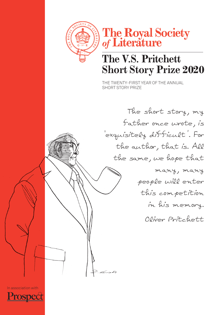



# **The V.S. Pritchett Short Story Prize 2020**

The TWENTY-FIRST year of The aNNual shorT sTory prIze

The short story, my father once wrote, is 'exquisitely difficult'. For the author, that is. All the same, we hope that many, many people will enter this competition in his memory. Oliver Pritchett

In association with

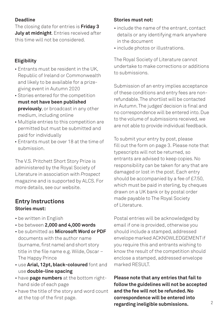### **Deadline**

The closing date for entries is **Friday 3 July at midnight**. Entries received after this time will not be considered.

### **Eligibility**

- Entrants must be resident in the UK, Republic of Ireland or Commonwealth and likely to be available for a prizegiving event in autumn 2020
- Stories entered for the competition **must not have been published previously**, or broadcast in any other medium, including online
- Multiple entries to this competition are permitted but must be submitted and paid for individually
- Entrants must be over 18 at the time of submission.

The V.S. Pritchett Short Story Prize is administered by the Royal Society of literature in association with *Prospect* magazine and is supported by alCs. for more details, see our website.

## **Entry Instructions Stories must:**

- be written in English
- be between **2,000 and 4,000 words**
- be submitted as **Microsoft Word or PDF** documents with the author name (surname, first name) and short story title in the file name e.g. Wilde, Oscar – The Happy Prince
- use **Arial, 12pt, black-coloured** font and use **double-line spacing**
- have **page numbers** at the bottom righthand side of each page
- have the title of the story and word count at the top of the first page.

### **Stories must not:**

- include the name of the entrant, contact details or any identifying mark anywhere in the document
- include photos or illustrations.

The Royal Society of Literature cannot undertake to make corrections or additions to submissions.

submission of an entry implies acceptance of these conditions and entry fees are nonrefundable.The shortlist will be contacted in Autumn. The judges' decision is final and no correspondence will be entered into. Due to the volume of submissions received, we are not able to provide individual feedback.

To submit your entry by post, please fill out the form on page 3. Please note that typescripts will not be returned, so entrants are advised to keep copies. No responsibility can be taken for any that are damaged or lost in the post. Each entry should be accompanied by a fee of £7.50, which must be paid in sterling, by cheques drawn on a UK bank or by postal order made payable to The Royal Society of literature.

postal entries will be acknowledged by email if one is provided, otherwise you should include a stamped, addressed envelope marked ACKNOWLEDGEMENT if you require this and entrants wishing to know the result of the competition should enclose a stamped, addressed envelope marked RESULT.

**Please note that any entries that fail to follow the guidelines will not be accepted and the fee will not be refunded. No correspondence will be entered into regarding ineligible submissions.**